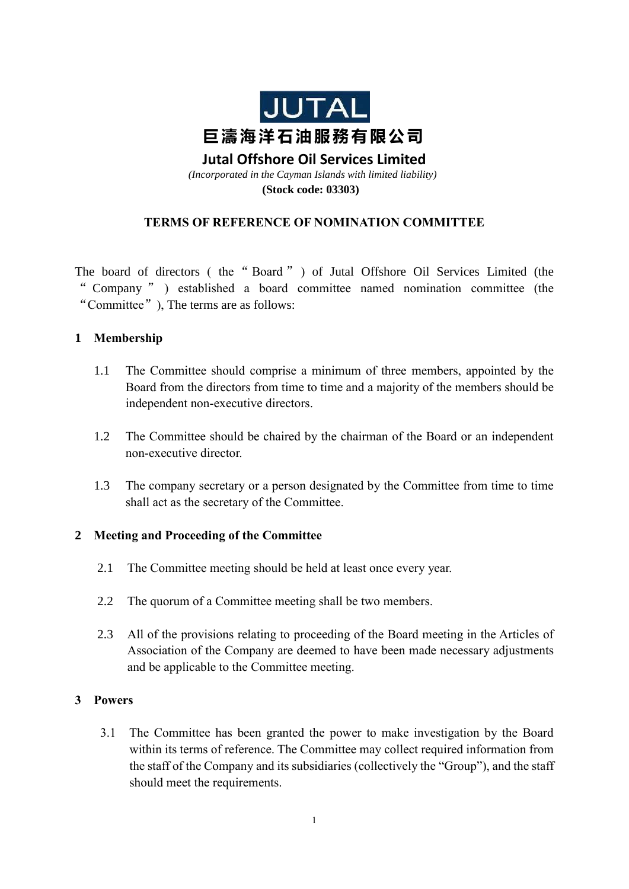

# **Jutal Offshore Oil Services Limited**

*(Incorporated in the Cayman Islands with limited liability)* **(Stock code: 03303)**

### **TERMS OF REFERENCE OF NOMINATION COMMITTEE**

The board of directors ( the " Board " ) of Jutal Offshore Oil Services Limited (the " Company " ) established a board committee named nomination committee (the "Committee"), The terms are as follows:

#### **1 Membership**

- 1.1 The Committee should comprise a minimum of three members, appointed by the Board from the directors from time to time and a majority of the members should be independent non-executive directors.
- 1.2 The Committee should be chaired by the chairman of the Board or an independent non-executive director.
- 1.3 The company secretary or a person designated by the Committee from time to time shall act as the secretary of the Committee.

### **2 Meeting and Proceeding of the Committee**

- 2.1 The Committee meeting should be held at least once every year.
- 2.2 The quorum of a Committee meeting shall be two members.
- 2.3 All of the provisions relating to proceeding of the Board meeting in the Articles of Association of the Company are deemed to have been made necessary adjustments and be applicable to the Committee meeting.

### **3 Powers**

3.1 The Committee has been granted the power to make investigation by the Board within its terms of reference. The Committee may collect required information from the staff of the Company and its subsidiaries (collectively the "Group"), and the staff should meet the requirements.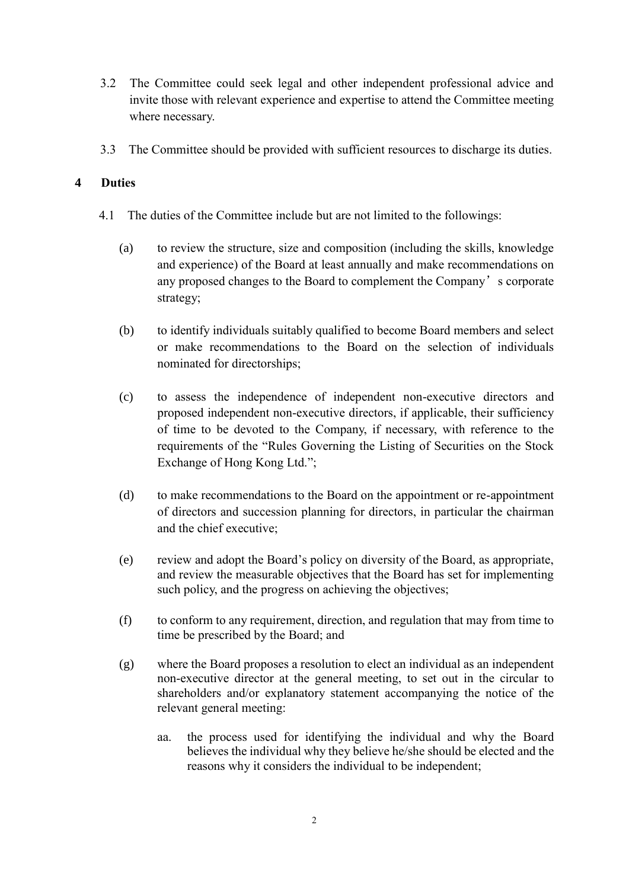- 3.2 The Committee could seek legal and other independent professional advice and invite those with relevant experience and expertise to attend the Committee meeting where necessary.
- 3.3 The Committee should be provided with sufficient resources to discharge its duties.

## **4 Duties**

- 4.1 The duties of the Committee include but are not limited to the followings:
	- (a) to review the structure, size and composition (including the skills, knowledge and experience) of the Board at least annually and make recommendations on any proposed changes to the Board to complement the Company's corporate strategy;
	- (b) to identify individuals suitably qualified to become Board members and select or make recommendations to the Board on the selection of individuals nominated for directorships;
	- (c) to assess the independence of independent non-executive directors and proposed independent non-executive directors, if applicable, their sufficiency of time to be devoted to the Company, if necessary, with reference to the requirements of the "Rules Governing the Listing of Securities on the Stock Exchange of Hong Kong Ltd.";
	- (d) to make recommendations to the Board on the appointment or re-appointment of directors and succession planning for directors, in particular the chairman and the chief executive;
	- (e) review and adopt the Board's policy on diversity of the Board, as appropriate, and review the measurable objectives that the Board has set for implementing such policy, and the progress on achieving the objectives;
	- (f) to conform to any requirement, direction, and regulation that may from time to time be prescribed by the Board; and
	- (g) where the Board proposes a resolution to elect an individual as an independent non-executive director at the general meeting, to set out in the circular to shareholders and/or explanatory statement accompanying the notice of the relevant general meeting:
		- aa. the process used for identifying the individual and why the Board believes the individual why they believe he/she should be elected and the reasons why it considers the individual to be independent;